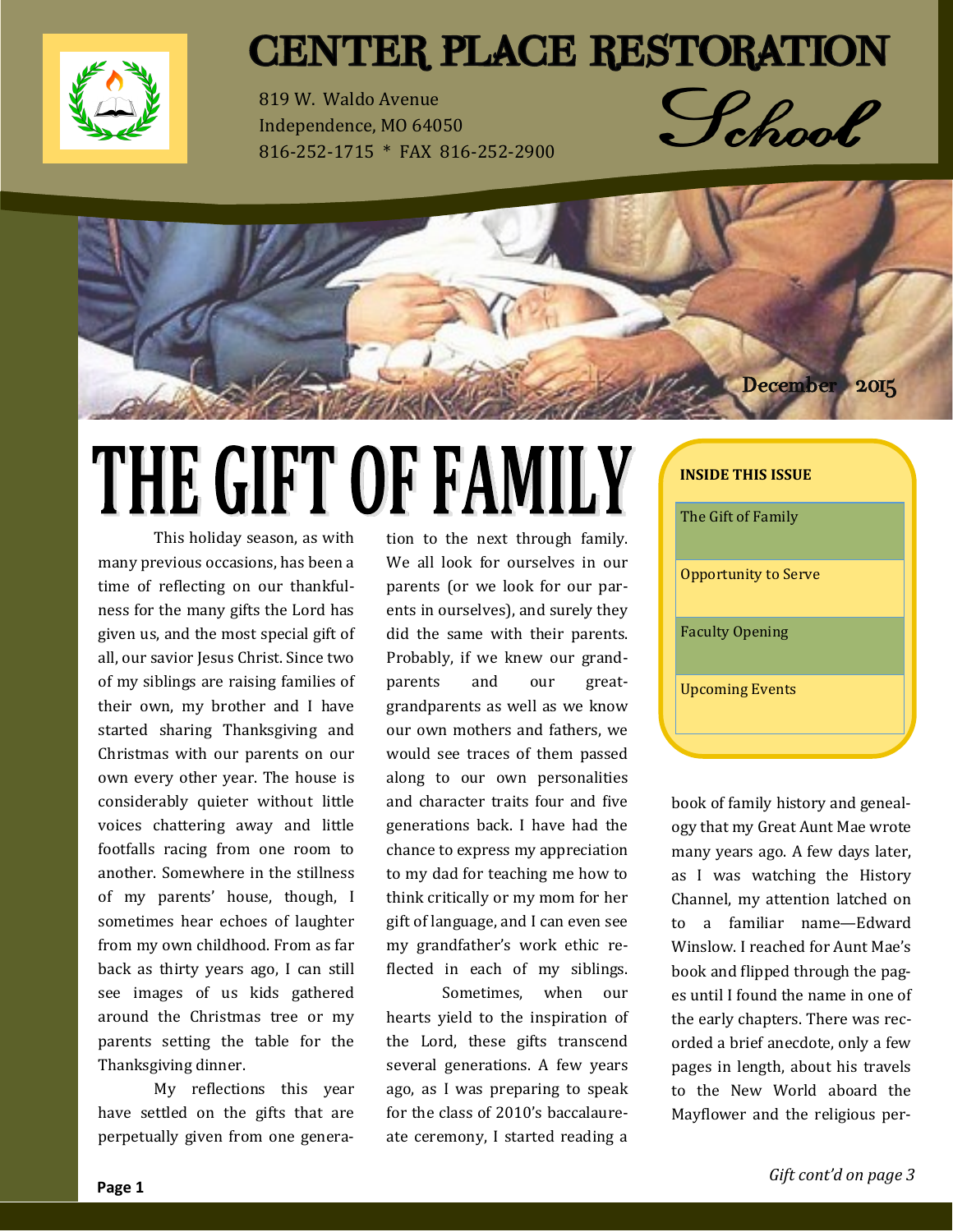

### **CENTER PLACE RESTORATION**

819 W. Waldo Avenue Independence, MO 64050 816-252-1715 \* FAX 816-252-2900





# THE GIFT OF FAMILY

This holiday season, as with many previous occasions, has been a time of reflecting on our thankfulness for the many gifts the Lord has given us, and the most special gift of all, our savior Jesus Christ. Since two of my siblings are raising families of their own, my brother and I have started sharing Thanksgiving and Christmas with our parents on our own every other year. The house is considerably quieter without little voices chattering away and little footfalls racing from one room to another. Somewhere in the stillness of my parents' house, though, I sometimes hear echoes of laughter from my own childhood. From as far back as thirty years ago, I can still see images of us kids gathered around the Christmas tree or my parents setting the table for the Thanksgiving dinner.

My reflections this year have settled on the gifts that are perpetually given from one generation to the next through family. We all look for ourselves in our parents (or we look for our parents in ourselves), and surely they did the same with their parents. Probably, if we knew our grandparents and our greatgrandparents as well as we know our own mothers and fathers, we would see traces of them passed along to our own personalities and character traits four and five generations back. I have had the chance to express my appreciation to my dad for teaching me how to think critically or my mom for her gift of language, and I can even see my grandfather's work ethic reflected in each of my siblings.

Sometimes, when our hearts yield to the inspiration of the Lord, these gifts transcend several generations. A few years ago, as I was preparing to speak for the class of 2010's baccalaureate ceremony, I started reading a

book of family history and genealogy that my Great Aunt Mae wrote many years ago. A few days later, as I was watching the History Channel, my attention latched on to a familiar name—Edward Winslow. I reached for Aunt Mae's book and flipped through the pages until I found the name in one of the early chapters. There was recorded a brief anecdote, only a few pages in length, about his travels to the New World aboard the Mayflower and the religious per-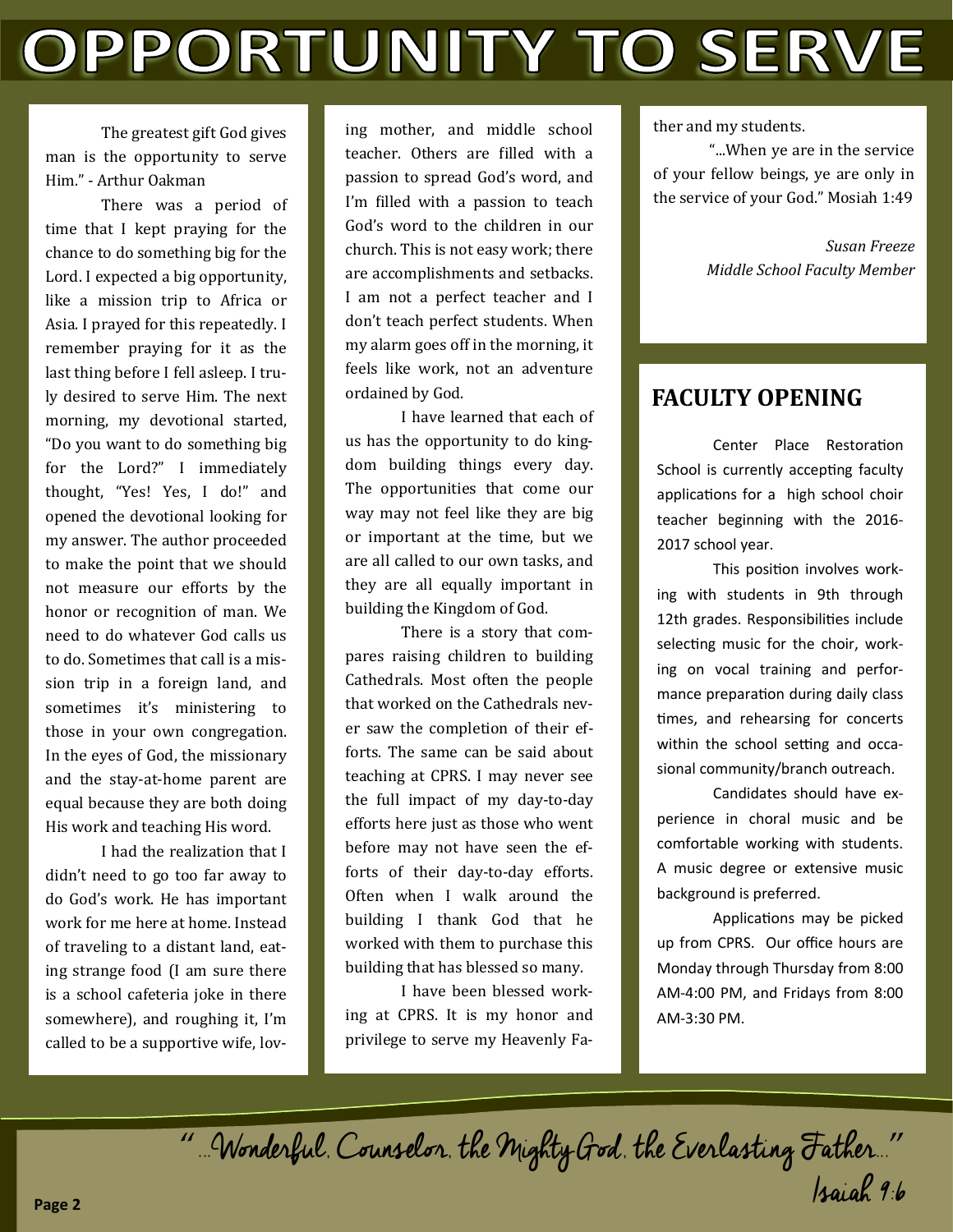# OPPORTUNITY TO SERVE

The greatest gift God gives man is the opportunity to serve Him." - Arthur Oakman

There was a period of time that I kept praying for the chance to do something big for the Lord. I expected a big opportunity, like a mission trip to Africa or Asia. I prayed for this repeatedly. I remember praying for it as the last thing before I fell asleep. I truly desired to serve Him. The next morning, my devotional started, "Do you want to do something big for the Lord?" I immediately thought, "Yes! Yes, I do!" and opened the devotional looking for my answer. The author proceeded to make the point that we should not measure our efforts by the honor or recognition of man. We need to do whatever God calls us to do. Sometimes that call is a mission trip in a foreign land, and sometimes it's ministering to those in your own congregation. In the eyes of God, the missionary and the stay-at-home parent are equal because they are both doing His work and teaching His word.

I had the realization that I didn't need to go too far away to do God's work. He has important work for me here at home. Instead of traveling to a distant land, eating strange food (I am sure there is a school cafeteria joke in there somewhere), and roughing it, I'm called to be a supportive wife, loving mother, and middle school teacher. Others are filled with a passion to spread God's word, and I'm filled with a passion to teach God's word to the children in our church. This is not easy work; there are accomplishments and setbacks. I am not a perfect teacher and I don't teach perfect students. When my alarm goes off in the morning, it feels like work, not an adventure ordained by God.

I have learned that each of us has the opportunity to do kingdom building things every day. The opportunities that come our way may not feel like they are big or important at the time, but we are all called to our own tasks, and they are all equally important in building the Kingdom of God.

There is a story that compares raising children to building Cathedrals. Most often the people that worked on the Cathedrals never saw the completion of their efforts. The same can be said about teaching at CPRS. I may never see the full impact of my day-to-day efforts here just as those who went before may not have seen the efforts of their day-to-day efforts. Often when I walk around the building I thank God that he worked with them to purchase this building that has blessed so many.

I have been blessed working at CPRS. It is my honor and privilege to serve my Heavenly Father and my students.

"...When ye are in the service of your fellow beings, ye are only in the service of your God." Mosiah 1:49

> *Susan Freeze Middle School Faculty Member*

#### **FACULTY OPENING**

Center Place Restoration School is currently accepting faculty applications for a high school choir teacher beginning with the 2016- 2017 school year.

This position involves working with students in 9th through 12th grades. Responsibilities include selecting music for the choir, working on vocal training and performance preparation during daily class times, and rehearsing for concerts within the school setting and occasional community/branch outreach.

Candidates should have experience in choral music and be comfortable working with students. A music degree or extensive music background is preferred.

Applications may be picked up from CPRS. Our office hours are Monday through Thursday from 8:00 AM-4:00 PM, and Fridays from 8:00 AM-3:30 PM.

"...Wonderful, Counselor, the Mighty God, the Everlasting Father..." Isaiah 9:6 **Page 2**